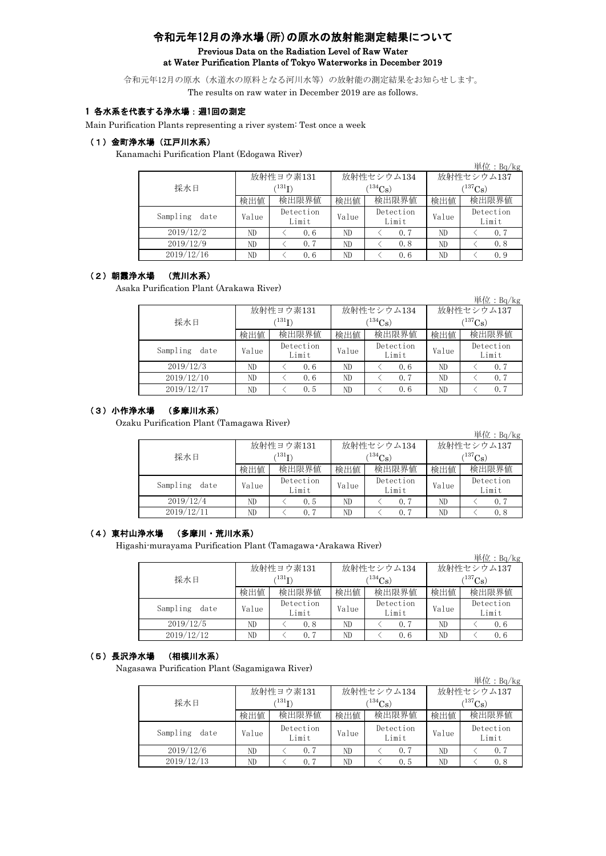# 令和元年12月の浄水場(所)の原水の放射能測定結果について Previous Data on the Radiation Level of Raw Water at Water Purification Plants of Tokyo Waterworks in December 2019

令和元年12月の原水(水道水の原料となる河川水等)の放射能の測定結果をお知らせします。 The results on raw water in December 2019 are as follows.

### 1 各水系を代表する浄水場:週1回の測定

Main Purification Plants representing a river system: Test once a week

### (1)金町浄水場(江戸川水系)

Kanamachi Purification Plant (Edogawa River)

|                  |       |                    |       |                    |                       | 単位: $Bq/kg$        |  |
|------------------|-------|--------------------|-------|--------------------|-----------------------|--------------------|--|
|                  |       | 放射性ヨウ素131          |       | 放射性セシウム134         | 放射性セシウム137            |                    |  |
| 採水日              |       | $^{\prime131}$ I)  |       | $134C_s$           | $(^{137}\mathrm{Cs})$ |                    |  |
|                  | 検出値   | 検出限界値              | 検出値   | 検出限界値              | 検出値                   | 検出限界値              |  |
| Sampling<br>date | Value | Detection<br>Limit | Value | Detection<br>Limit | Value                 | Detection<br>Limit |  |
| 2019/12/2        | ND    | 0.6                | ND    | 0.7                | ND                    | 0.7                |  |
| 2019/12/9        | ND    | 0.7                | ND    | 0, 8               | ND                    | 0.8                |  |
| 2019/12/16       | ND    | 0.6                | ND    | 0.6                | ND                    | 0.9                |  |

## (2)朝霞浄水場 (荒川水系)

Asaka Purification Plant (Arakawa River)

|                  |       |                    |       |                    |            | $+1$ $\mu$ $\cdot$ $-1$ $\mu$ $\mu$ $\kappa$ |  |
|------------------|-------|--------------------|-------|--------------------|------------|----------------------------------------------|--|
|                  |       | 放射性ヨウ素131          |       | 放射性セシウム134         | 放射性セシウム137 |                                              |  |
| 採水日              |       | $^{\prime 131}$ I) |       | $^{134}Cs$ )       | $137C_8$ ) |                                              |  |
|                  | 検出値   | 検出限界値              | 検出値   | 検出限界値              | 検出値        | 検出限界値                                        |  |
| Sampling<br>date | Value | Detection<br>Limit | Value | Detection<br>Limit | Value      | Detection<br>Limit                           |  |
| 2019/12/3        | ND    | 0.6                | ND    | 0.6                | ND         | 0.7                                          |  |
| 2019/12/10       | ND    | 0.6                | ND    | 0.7                | ND         | 0.7                                          |  |
| 2019/12/17       | ND    | 0.5                | ND    | 0.6                | ND         | 0.7                                          |  |

単位:Bq/kg

 $B/L$ ;  $B/A$ 

### (3)小作浄水場 (多摩川水系)

Ozaku Purification Plant (Tamagawa River)

|                  |       |                    |       |                       |                         | 単位: $Bq/kg$        |  |
|------------------|-------|--------------------|-------|-----------------------|-------------------------|--------------------|--|
|                  |       | 放射性ヨウ素131          |       | 放射性セシウム134            | 放射性セシウム137              |                    |  |
| 採水日              |       | (131)              |       | $(^{134}\mathrm{Cs})$ | $({}^{137}\mathrm{Cs})$ |                    |  |
|                  | 検出値   | 検出限界値              | 検出値   | 検出限界値                 | 検出値                     | 検出限界値              |  |
| Sampling<br>date | Value | Detection<br>Limit | Value | Detection<br>Limit    | Value                   | Detection<br>Limit |  |
| 2019/12/4        | ND    | 0.5                | ND    | 0.7                   | ND                      | 0, 7               |  |
| 2019/12/11       | ND    | 0.7                | ND    | 0.7                   | ND                      | 0.8                |  |

### (4)東村山浄水場 (多摩川・荒川水系)

Higashi-murayama Purification Plant (Tamagawa・Arakawa River)

|                  |       |                    |       |                    |              | 早位: $Bq/Kg$        |  |
|------------------|-------|--------------------|-------|--------------------|--------------|--------------------|--|
|                  |       | 放射性ヨウ素131          |       | 放射性セシウム134         | 放射性セシウム137   |                    |  |
| 採水日              |       | $^{\prime131}$ T)  |       | $(^{134}Cs)$       | $(^{137}Cs)$ |                    |  |
|                  | 検出値   | 検出限界値              | 検出値   | 検出限界値              | 検出値          | 検出限界値              |  |
| Sampling<br>date | Value | Detection<br>Limit | Value | Detection<br>Limit | Value        | Detection<br>Limit |  |
| 2019/12/5        | ND    | 0.8                | ND    | 0, 7               | ND           | 0.6                |  |
| 2019/12/12       | ND    | 0.7                | ND    | 0.6                | ND           | 0.6                |  |

#### (5)長沢浄水場 (相模川水系)

Nagasawa Purification Plant (Sagamigawa River)

|                  |       |                                        |       |                    |            | 単位: $Bq/kg$        |  |  |
|------------------|-------|----------------------------------------|-------|--------------------|------------|--------------------|--|--|
|                  |       | 放射性ヨウ素131                              |       | 放射性セシウム134         | 放射性セシウム137 |                    |  |  |
| 採水日              |       | 134 <sub>Cs</sub><br>$^{\prime131}$ T) |       |                    |            | $(^{137}Cs)$       |  |  |
|                  | 検出値   | 検出限界値                                  | 検出値   | 検出限界値              | 検出値        | 検出限界値              |  |  |
| Sampling<br>date | Value | Detection<br>Limit                     | Value | Detection<br>Limit | Value      | Detection<br>Limit |  |  |
| 2019/12/6        | ND    | 0, 7                                   | ND    | 0.7                | ND         | 0, 7               |  |  |
| 2019/12/13       | ND    | 0.7                                    | ND    | 0.5                | ND         | 0.8                |  |  |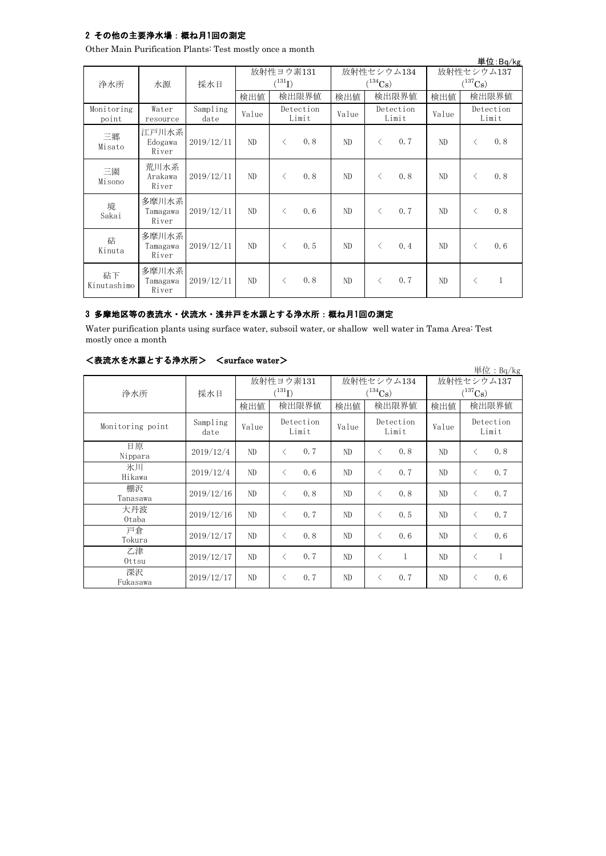## 2 その他の主要浄水場:概ね月1回の測定

Other Main Purification Plants: Test mostly once a month

|                     |                            |                  |                          |           |                    |                       |            |                                     |       |           | 単位:Bq/kg           |
|---------------------|----------------------------|------------------|--------------------------|-----------|--------------------|-----------------------|------------|-------------------------------------|-------|-----------|--------------------|
| 浄水所                 | 水源                         | 採水日              | 放射性ヨウ素131<br>$(^{131}I)$ |           |                    | $(^{134}\mathrm{Cs})$ | 放射性セシウム134 | 放射性セシウム137<br>$(^{137}\mathrm{Cs})$ |       |           |                    |
|                     |                            |                  | 検出値                      |           | 検出限界値              | 検出値                   |            | 検出限界値                               | 検出値   |           | 検出限界値              |
| Monitoring<br>point | Water<br>resource          | Sampling<br>date | Value                    |           | Detection<br>Limit | Value                 |            | Detection<br>Limit                  | Value |           | Detection<br>Limit |
| 三郷<br>Misato        | 江戸川水系<br>Edogawa<br>River  | 2019/12/11       | ND                       | $\langle$ | 0.8                | ND                    | $\langle$  | 0.7                                 | ND    | $\langle$ | 0.8                |
| 三園<br>Misono        | 荒川水系<br>Arakawa<br>River   | 2019/12/11       | ND                       | $\langle$ | 0.8                | ND                    | $\lt$      | 0.8                                 | ND    | ⟨         | 0.8                |
| 境<br>Sakai          | 多摩川水系<br>Tamagawa<br>River | 2019/12/11       | ND                       | $\langle$ | 0, 6               | ND                    | $\langle$  | 0.7                                 | ND    | ⟨         | 0.8                |
| 砧<br>Kinuta         | 多摩川水系<br>Tamagawa<br>River | 2019/12/11       | ND.                      | $\langle$ | 0.5                | ND                    | $\lt$      | 0.4                                 | ND    | ⟨         | 0.6                |
| 砧下<br>Kinutashimo   | 多摩川水系<br>Tamagawa<br>River | 2019/12/11       | ND                       | $\langle$ | 0.8                | ND                    | $\lt$      | 0.7                                 | ND    | く         | $\mathbf{1}$       |

## 3 多摩地区等の表流水・伏流水・浅井戸を水源とする浄水所:概ね月1回の測定

Water purification plants using surface water, subsoil water, or shallow well water in Tama Area: Test mostly once a month

| <表流水を水源とする浄水所> | $\langle$ surface water $\rangle$ |
|----------------|-----------------------------------|
|----------------|-----------------------------------|

|                  |                  |       |                                     |       |       |                                     |              |       |                                     | 単位: $Bq/kg$        |
|------------------|------------------|-------|-------------------------------------|-------|-------|-------------------------------------|--------------|-------|-------------------------------------|--------------------|
|                  |                  |       | 放射性ヨウ素131<br>$({}^{131}\mathrm{I})$ |       |       | 放射性セシウム134<br>$(^{134}\mathrm{Cs})$ |              |       | 放射性セシウム137<br>$(^{137}\mathrm{Cs})$ |                    |
| 浄水所              | 採水日              | 検出値   |                                     | 検出限界値 | 検出値   |                                     | 検出限界値        | 検出値   | 検出限界値                               |                    |
| Monitoring point | Sampling<br>date | Value | Detection<br>Limit                  |       | Value | Detection<br>Limit                  |              | Value |                                     | Detection<br>Limit |
| 日原<br>Nippara    | 2019/12/4        | ND    | $\langle$                           | 0, 7  | ND    | $\langle$                           | 0.8          | ND    | $\lt$                               | 0.8                |
| 氷川<br>Hikawa     | 2019/12/4        | ND    | $\langle$                           | 0.6   | ND    | $\langle$                           | 0.7          | ND    | $\langle$                           | 0.7                |
| 棚沢<br>Tanasawa   | 2019/12/16       | ND    | $\langle$                           | 0.8   | ND    | $\langle$                           | 0.8          | ND    | $\langle$                           | 0.7                |
| 大丹波<br>Otaba     | 2019/12/16       | ND    | $\langle$                           | 0, 7  | ND    | $\langle$                           | 0.5          | ND    | $\langle$                           | 0.7                |
| 戸倉<br>Tokura     | 2019/12/17       | ND    | $\langle$                           | 0.8   | ND    | $\lt$                               | 0.6          | ND    | $\langle$                           | 0.6                |
| 乙津<br>Ottsu      | 2019/12/17       | ND    | $\langle$                           | 0, 7  | ND    | $\langle$                           | $\mathbf{1}$ | ND    | ⟨                                   | $\mathbf{1}$       |
| 深沢<br>Fukasawa   | 2019/12/17       | ND    | $\langle$                           | 0, 7  | ND    | $\langle$                           | 0.7          | ND    | ⟨                                   | 0.6                |